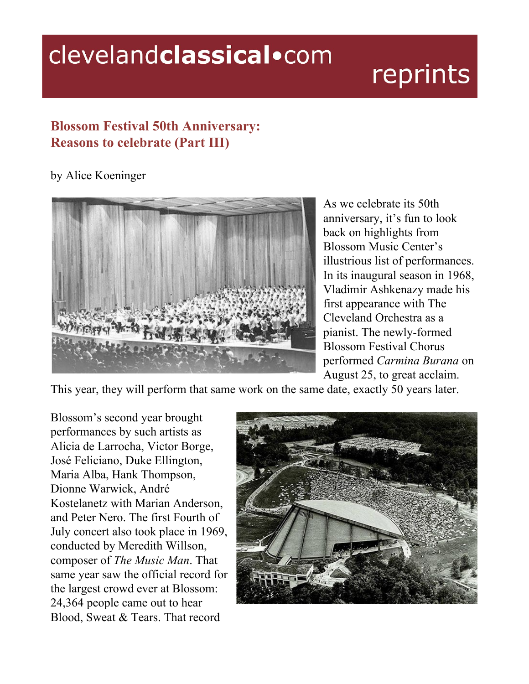## clevelandclassical.com

## reprints

## **Blossom Festival 50th Anniversary: Reasons to celebrate (Part III)**

## by Alice Koeninger



As we celebrate its 50th anniversary, it's fun to look back on highlights from Blossom Music Center's illustrious list of performances. In its inaugural season in 1968, Vladimir Ashkenazy made his first appearance with The Cleveland Orchestra as a pianist. The newly-formed Blossom Festival Chorus performed *Carmina Burana* on August 25, to great acclaim.

This year, they will perform that same work on the same date, exactly 50 years later.

Blossom's second year brought performances by such artists as Alicia de Larrocha, Victor Borge, José Feliciano, Duke Ellington, Maria Alba, Hank Thompson, Dionne Warwick, André Kostelanetz with Marian Anderson, and Peter Nero. The first Fourth of July concert also took place in 1969, conducted by Meredith Willson, composer of *The Music Man*. That same year saw the official record for the largest crowd ever at Blossom: 24,364 people came out to hear Blood, Sweat & Tears. That record

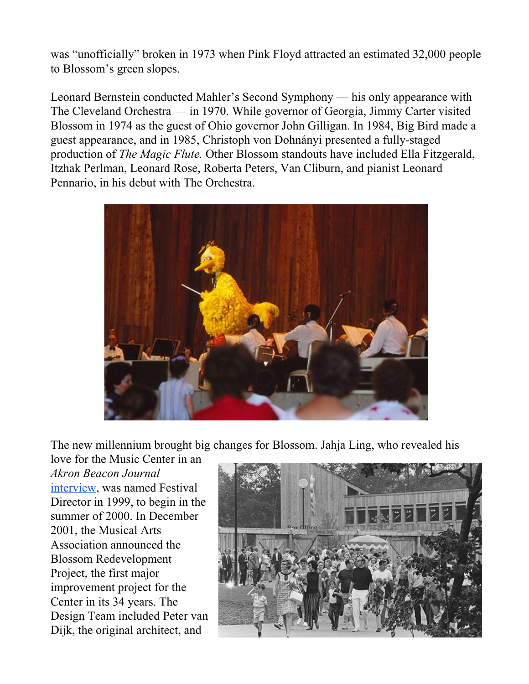was "unofficially" broken in 1973 when Pink Floyd attracted an estimated 32,000 people to Blossom's green slopes.

Leonard Bernstein conducted Mahler's Second Symphony –– his only appearance with The Cleveland Orchestra –– in 1970. While governor of Georgia, Jimmy Carter visited Blossom in 1974 as the guest of Ohio governor John Gilligan. In 1984, Big Bird made a guest appearance, and in 1985, Christoph von Dohnányi presented a fully-staged production of *The Magic Flute.* Other Blossom standouts have included Ella Fitzgerald, Itzhak Perlman, Leonard Rose, Roberta Peters, Van Cliburn, and pianist Leonard Pennario, in his debut with The Orchestra.



The new millennium brought big changes for Blossom. Jahja Ling, who revealed his

love for the Music Center in an *Akron Beacon Journal* [interview](https://www.ohio.com/akron/entertainment/arts/jahja-ling-after-more-than-100-concerts-at-blossom-some-still-stand-out), was named Festival Director in 1999, to begin in the summer of 2000. In December 2001, the Musical Arts Association announced the Blossom Redevelopment Project, the first major improvement project for the Center in its 34 years. The Design Team included Peter van Dijk, the original architect, and

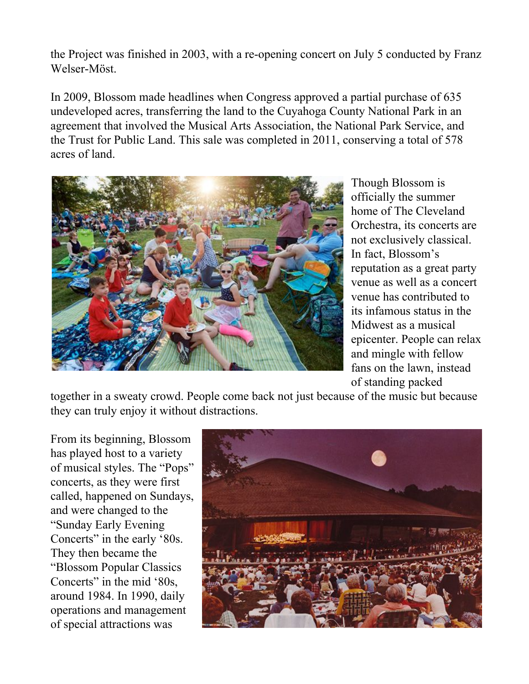the Project was finished in 2003, with a re-opening concert on July 5 conducted by Franz Welser-Möst.

In 2009, Blossom made headlines when Congress approved a partial purchase of 635 undeveloped acres, transferring the land to the Cuyahoga County National Park in an agreement that involved the Musical Arts Association, the National Park Service, and the Trust for Public Land. This sale was completed in 2011, conserving a total of 578 acres of land.



Though Blossom is officially the summer home of The Cleveland Orchestra, its concerts are not exclusively classical. In fact, Blossom's reputation as a great party venue as well as a concert venue has contributed to its infamous status in the Midwest as a musical epicenter. People can relax and mingle with fellow fans on the lawn, instead of standing packed

together in a sweaty crowd. People come back not just because of the music but because they can truly enjoy it without distractions.

From its beginning, Blossom has played host to a variety of musical styles. The "Pops" concerts, as they were first called, happened on Sundays, and were changed to the "Sunday Early Evening Concerts" in the early '80s. They then became the "Blossom Popular Classics Concerts" in the mid '80s, around 1984. In 1990, daily operations and management of special attractions was

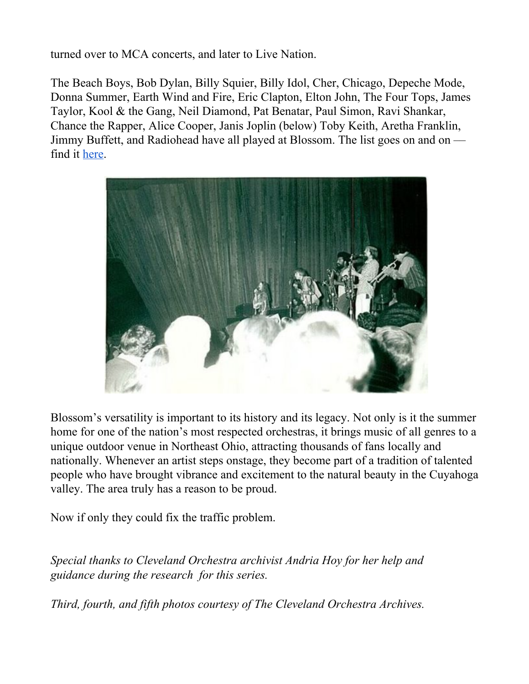turned over to MCA concerts, and later to Live Nation.

The Beach Boys, Bob Dylan, Billy Squier, Billy Idol, Cher, Chicago, Depeche Mode, Donna Summer, Earth Wind and Fire, Eric Clapton, Elton John, The Four Tops, James Taylor, Kool & the Gang, Neil Diamond, Pat Benatar, Paul Simon, Ravi Shankar, Chance the Rapper, Alice Cooper, Janis Joplin (below) Toby Keith, Aretha Franklin, Jimmy Buffett, and Radiohead have all played at Blossom. The list goes on and on –– find it [here.](https://b2.caspio.com/dp/95d3100053f79e3ec09b4d69a1f4)



Blossom's versatility is important to its history and its legacy. Not only is it the summer home for one of the nation's most respected orchestras, it brings music of all genres to a unique outdoor venue in Northeast Ohio, attracting thousands of fans locally and nationally. Whenever an artist steps onstage, they become part of a tradition of talented people who have brought vibrance and excitement to the natural beauty in the Cuyahoga valley. The area truly has a reason to be proud.

Now if only they could fix the traffic problem.

*Special thanks to Cleveland Orchestra archivist Andria Hoy for her help and guidance during the research for this series.*

*Third, fourth, and fifth photos courtesy of The Cleveland Orchestra Archives.*